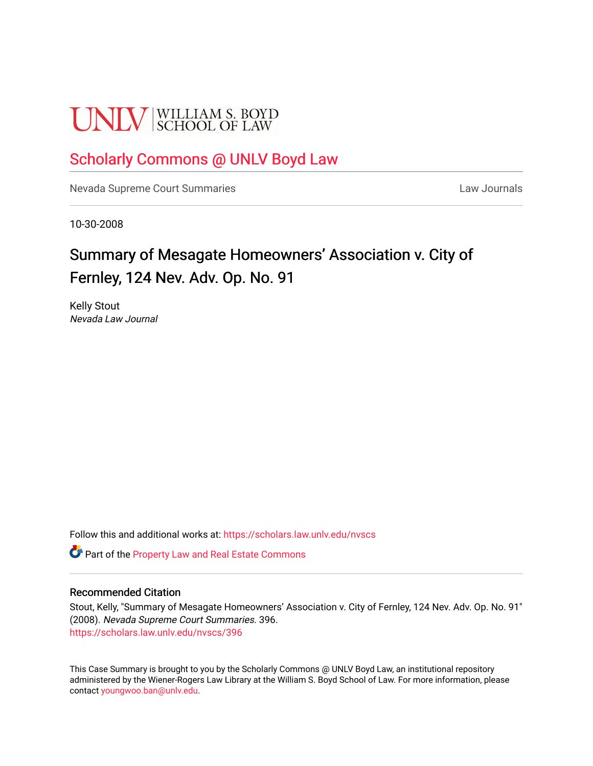# **UNLV** SCHOOL OF LAW

## [Scholarly Commons @ UNLV Boyd Law](https://scholars.law.unlv.edu/)

[Nevada Supreme Court Summaries](https://scholars.law.unlv.edu/nvscs) **Law Journals** Law Journals

10-30-2008

# Summary of Mesagate Homeowners' Association v. City of Fernley, 124 Nev. Adv. Op. No. 91

Kelly Stout Nevada Law Journal

Follow this and additional works at: [https://scholars.law.unlv.edu/nvscs](https://scholars.law.unlv.edu/nvscs?utm_source=scholars.law.unlv.edu%2Fnvscs%2F396&utm_medium=PDF&utm_campaign=PDFCoverPages)

Part of the [Property Law and Real Estate Commons](http://network.bepress.com/hgg/discipline/897?utm_source=scholars.law.unlv.edu%2Fnvscs%2F396&utm_medium=PDF&utm_campaign=PDFCoverPages) 

#### Recommended Citation

Stout, Kelly, "Summary of Mesagate Homeowners' Association v. City of Fernley, 124 Nev. Adv. Op. No. 91" (2008). Nevada Supreme Court Summaries. 396. [https://scholars.law.unlv.edu/nvscs/396](https://scholars.law.unlv.edu/nvscs/396?utm_source=scholars.law.unlv.edu%2Fnvscs%2F396&utm_medium=PDF&utm_campaign=PDFCoverPages)

This Case Summary is brought to you by the Scholarly Commons @ UNLV Boyd Law, an institutional repository administered by the Wiener-Rogers Law Library at the William S. Boyd School of Law. For more information, please contact [youngwoo.ban@unlv.edu](mailto:youngwoo.ban@unlv.edu).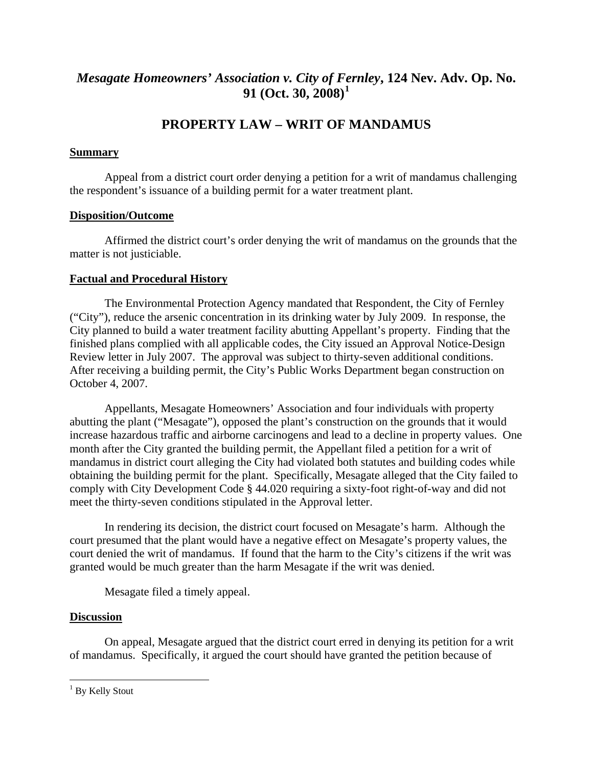### *Mesagate Homeowners' Association v. City of F[er](#page-1-0)nley***, 124 Nev. Adv. Op. No. 91 (Oct. 30, 2008)[1](#page-1-0)**

## **PROPERTY LAW – WRIT OF MANDAMUS**

#### **Summary**

 Appeal from a district court order denying a petition for a writ of mandamus challenging the respondent's issuance of a building permit for a water treatment plant.

#### **Disposition/Outcome**

 Affirmed the district court's order denying the writ of mandamus on the grounds that the matter is not justiciable.

#### **Factual and Procedural History**

 The Environmental Protection Agency mandated that Respondent, the City of Fernley ("City"), reduce the arsenic concentration in its drinking water by July 2009. In response, the City planned to build a water treatment facility abutting Appellant's property. Finding that the finished plans complied with all applicable codes, the City issued an Approval Notice-Design Review letter in July 2007. The approval was subject to thirty-seven additional conditions. After receiving a building permit, the City's Public Works Department began construction on October 4, 2007.

 Appellants, Mesagate Homeowners' Association and four individuals with property abutting the plant ("Mesagate"), opposed the plant's construction on the grounds that it would increase hazardous traffic and airborne carcinogens and lead to a decline in property values. One month after the City granted the building permit, the Appellant filed a petition for a writ of mandamus in district court alleging the City had violated both statutes and building codes while obtaining the building permit for the plant. Specifically, Mesagate alleged that the City failed to comply with City Development Code § 44.020 requiring a sixty-foot right-of-way and did not meet the thirty-seven conditions stipulated in the Approval letter.

 In rendering its decision, the district court focused on Mesagate's harm. Although the court presumed that the plant would have a negative effect on Mesagate's property values, the court denied the writ of mandamus. If found that the harm to the City's citizens if the writ was granted would be much greater than the harm Mesagate if the writ was denied.

Mesagate filed a timely appeal.

#### **Discussion**

 On appeal, Mesagate argued that the district court erred in denying its petition for a writ of mandamus. Specifically, it argued the court should have granted the petition because of

 $\overline{a}$ 

<span id="page-1-0"></span><sup>&</sup>lt;sup>1</sup> By Kelly Stout